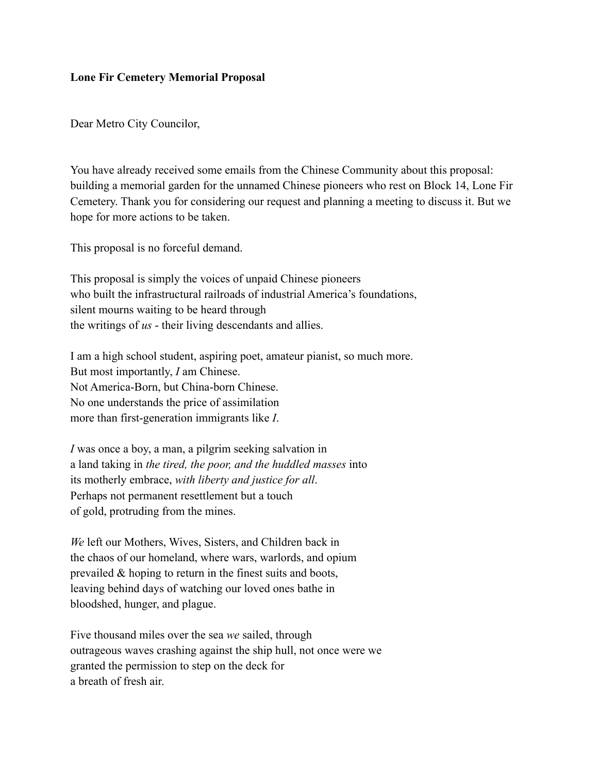## **Lone Fir Cemetery Memorial Proposal**

Dear Metro City Councilor,

You have already received some emails from the Chinese Community about this proposal: building a memorial garden for the unnamed Chinese pioneers who rest on Block 14, Lone Fir Cemetery. Thank you for considering our request and planning a meeting to discuss it. But we hope for more actions to be taken.

This proposal is no forceful demand.

This proposal is simply the voices of unpaid Chinese pioneers who built the infrastructural railroads of industrial America's foundations, silent mourns waiting to be heard through the writings of *us* - their living descendants and allies.

I am a high school student, aspiring poet, amateur pianist, so much more. But most importantly, *I* am Chinese. Not America-Born, but China-born Chinese. No one understands the price of assimilation more than first-generation immigrants like *I*.

*I* was once a boy, a man, a pilgrim seeking salvation in a land taking in *the tired, the poor, and the huddled masses* into its motherly embrace, *with liberty and justice for all*. Perhaps not permanent resettlement but a touch of gold, protruding from the mines.

*We* left our Mothers, Wives, Sisters, and Children back in the chaos of our homeland, where wars, warlords, and opium prevailed & hoping to return in the finest suits and boots, leaving behind days of watching our loved ones bathe in bloodshed, hunger, and plague.

Five thousand miles over the sea *we* sailed, through outrageous waves crashing against the ship hull, not once were we granted the permission to step on the deck for a breath of fresh air.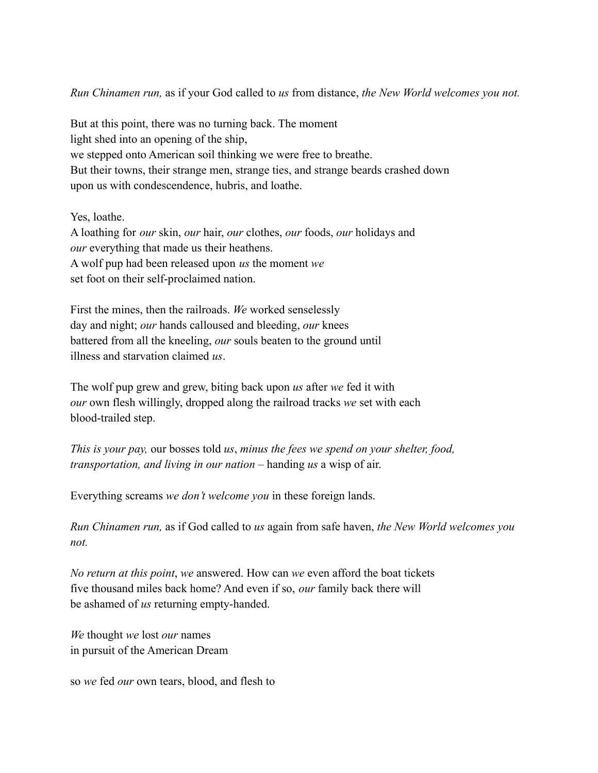*Run Chinamen run,* as if your God called to *us* from distance, *the New World welcomes you not.*

But at this point, there was no turning back. The moment light shed into an opening of the ship, we stepped onto American soil thinking we were free to breathe. But their towns, their strange men, strange ties, and strange beards crashed down upon us with condescendence, hubris, and loathe.

Yes, loathe.

A loathing for *our* skin, *our* hair, *our* clothes, *our* foods, *our* holidays and *our* everything that made us their heathens. A wolf pup had been released upon *us* the moment *we* set foot on their self-proclaimed nation.

First the mines, then the railroads. *We* worked senselessly day and night; *our* hands calloused and bleeding, *our* knees battered from all the kneeling, *our* souls beaten to the ground until illness and starvation claimed *us*.

The wolf pup grew and grew, biting back upon *us* after *we* fed it with *our* own flesh willingly, dropped along the railroad tracks *we* set with each blood-trailed step.

*This is your pay,* our bosses told *us*, *minus the fees we spend on your shelter, food, transportation, and living in our nation* – handing *us* a wisp of air.

Everything screams *we don't welcome you* in these foreign lands.

*Run Chinamen run,* as if God called to *us* again from safe haven, *the New World welcomes you not.*

*No return at this point*, *we* answered. How can *we* even afford the boat tickets five thousand miles back home? And even if so, *our* family back there will be ashamed of *us* returning empty-handed.

*We* thought *we* lost *our* names in pursuit of the American Dream

so *we* fed *our* own tears, blood, and flesh to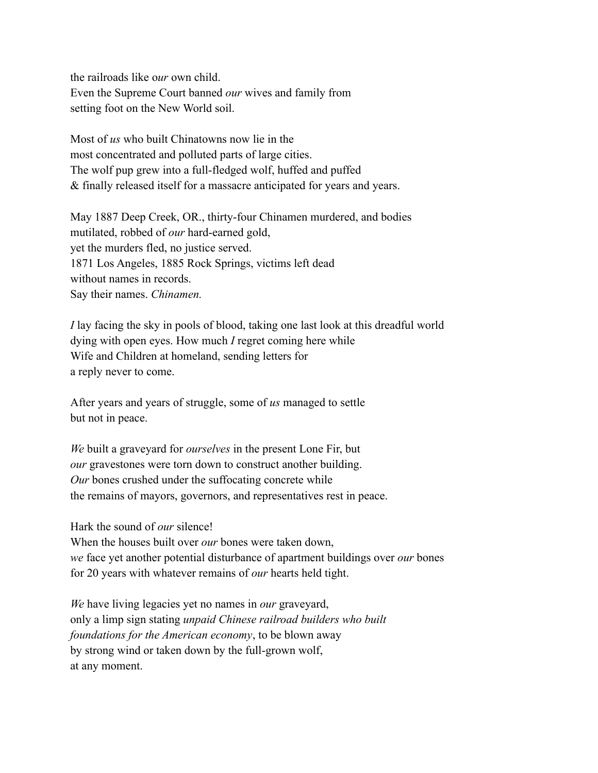the railroads like o*ur* own child. Even the Supreme Court banned *our* wives and family from setting foot on the New World soil.

Most of *us* who built Chinatowns now lie in the most concentrated and polluted parts of large cities. The wolf pup grew into a full-fledged wolf, huffed and puffed & finally released itself for a massacre anticipated for years and years.

May 1887 Deep Creek, OR., thirty-four Chinamen murdered, and bodies mutilated, robbed of *our* hard-earned gold, yet the murders fled, no justice served. 1871 Los Angeles, 1885 Rock Springs, victims left dead without names in records. Say their names. *Chinamen.*

*I* lay facing the sky in pools of blood, taking one last look at this dreadful world dying with open eyes. How much *I* regret coming here while Wife and Children at homeland, sending letters for a reply never to come.

After years and years of struggle, some of *us* managed to settle but not in peace.

*We* built a graveyard for *ourselves* in the present Lone Fir, but *our* gravestones were torn down to construct another building. *Our* bones crushed under the suffocating concrete while the remains of mayors, governors, and representatives rest in peace.

Hark the sound of *our* silence!

When the houses built over *our* bones were taken down, *we* face yet another potential disturbance of apartment buildings over *our* bones for 20 years with whatever remains of *our* hearts held tight.

*We* have living legacies yet no names in *our* graveyard, only a limp sign stating *unpaid Chinese railroad builders who built foundations for the American economy*, to be blown away by strong wind or taken down by the full-grown wolf, at any moment.